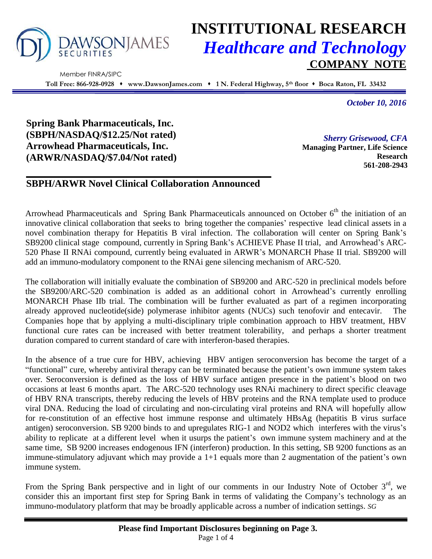

# **INSTITUTIONAL RESEARCH** *Healthcare and Technology* **COMPANY NOTE**

 Member FINRA/SIPC **Toll Free: 866-928-0928 www.DawsonJames.com 1 N. Federal Highway, 5th floor Boca Raton, FL 33432**

*October 10, 2016*

**Spring Bank Pharmaceuticals, Inc. (SBPH/NASDAQ/\$12.25/Not rated) Arrowhead Pharmaceuticals, Inc. (ARWR/NASDAQ/\$7.04/Not rated)**

*Sherry Grisewood, CFA* **Managing Partner, Life Science Research 561-208-2943**

## **SBPH/ARWR Novel Clinical Collaboration Announced**

Arrowhead Pharmaceuticals and Spring Bank Pharmaceuticals announced on October  $6<sup>th</sup>$  the initiation of an innovative clinical collaboration that seeks to bring together the companies' respective lead clinical assets in a novel combination therapy for Hepatitis B viral infection. The collaboration will center on Spring Bank's SB9200 clinical stage compound, currently in Spring Bank's ACHIEVE Phase II trial, and Arrowhead's ARC-520 Phase II RNAi compound, currently being evaluated in ARWR's MONARCH Phase II trial. SB9200 will add an immuno-modulatory component to the RNAi gene silencing mechanism of ARC-520.

The collaboration will initially evaluate the combination of SB9200 and ARC-520 in preclinical models before the SB9200/ARC-520 combination is added as an additional cohort in Arrowhead's currently enrolling MONARCH Phase IIb trial. The combination will be further evaluated as part of a regimen incorporating already approved nucleotide(side) polymerase inhibitor agents (NUCs) such tenofovir and entecavir. The Companies hope that by applying a multi-disciplinary triple combination approach to HBV treatment, HBV functional cure rates can be increased with better treatment tolerability, and perhaps a shorter treatment duration compared to current standard of care with interferon-based therapies.

In the absence of a true cure for HBV, achieving HBV antigen seroconversion has become the target of a "functional" cure, whereby antiviral therapy can be terminated because the patient's own immune system takes over. Seroconversion is defined as the loss of HBV surface antigen presence in the patient's blood on two occasions at least 6 months apart. The ARC-520 technology uses RNAi machinery to direct specific cleavage of HBV RNA transcripts, thereby reducing the levels of HBV proteins and the RNA template used to produce viral DNA. Reducing the load of circulating and non-circulating viral proteins and RNA will hopefully allow for re-constitution of an effective host immune response and ultimately HBsAg (hepatitis B virus surface antigen) seroconversion. SB 9200 binds to and upregulates RIG-1 and NOD2 which interferes with the virus's ability to replicate at a different level when it usurps the patient's own immune system machinery and at the same time, SB 9200 increases endogenous IFN (interferon) production. In this setting, SB 9200 functions as an immune-stimulatory adjuvant which may provide a 1+1 equals more than 2 augmentation of the patient's own immune system.

From the Spring Bank perspective and in light of our comments in our Industry Note of October  $3<sup>rd</sup>$ , we consider this an important first step for Spring Bank in terms of validating the Company's technology as an immuno-modulatory platform that may be broadly applicable across a number of indication settings. *SG*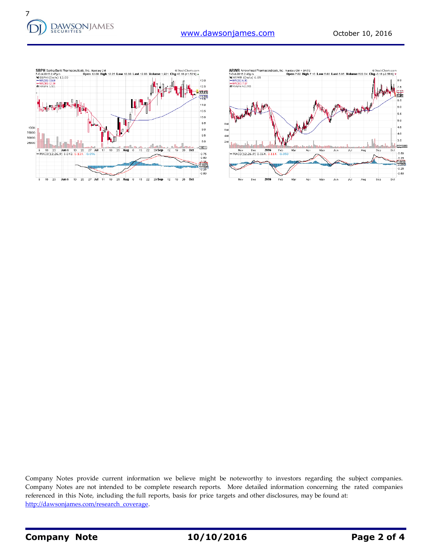



Company Notes provide current information we believe might be noteworthy to investors regarding the subject companies. Company Notes are not intended to be complete research reports. More detailed information concerning the rated companies referenced in this Note, including the full reports, basis for price targets and other disclosures, may be found at: [http://dawsonjames.com/research\\_coverage.](http://dawsonjames.com/research_coverage)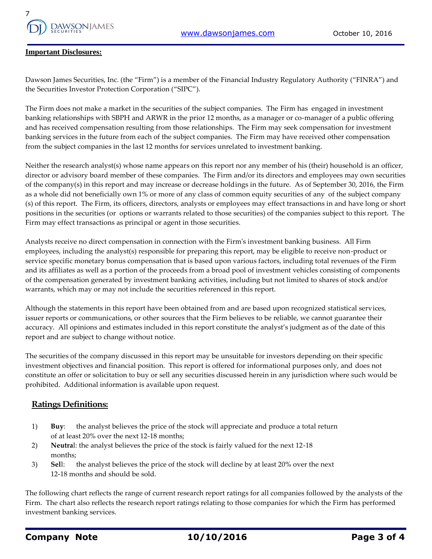

#### **Important Disclosures:**

Dawson James Securities, Inc. (the "Firm") is a member of the Financial Industry Regulatory Authority ("FINRA") and the Securities Investor Protection Corporation ("SIPC").

The Firm does not make a market in the securities of the subject companies. The Firm has engaged in investment banking relationships with SBPH and ARWR in the prior 12 months, as a manager or co-manager of a public offering and has received compensation resulting from those relationships. The Firm may seek compensation for investment banking services in the future from each of the subject companies. The Firm may have received other compensation from the subject companies in the last 12 months for services unrelated to investment banking.

Neither the research analyst(s) whose name appears on this report nor any member of his (their) household is an officer, director or advisory board member of these companies. The Firm and/or its directors and employees may own securities of the company(s) in this report and may increase or decrease holdings in the future. As of September 30, 2016, the Firm as a whole did not beneficially own 1% or more of any class of common equity securities of any of the subject company (s) of this report. The Firm, its officers, directors, analysts or employees may effect transactions in and have long or short positions in the securities (or options or warrants related to those securities) of the companies subject to this report. The Firm may effect transactions as principal or agent in those securities.

Analysts receive no direct compensation in connection with the Firm's investment banking business. All Firm employees, including the analyst(s) responsible for preparing this report, may be eligible to receive non-product or service specific monetary bonus compensation that is based upon various factors, including total revenues of the Firm and its affiliates as well as a portion of the proceeds from a broad pool of investment vehicles consisting of components of the compensation generated by investment banking activities, including but not limited to shares of stock and/or warrants, which may or may not include the securities referenced in this report.

Although the statements in this report have been obtained from and are based upon recognized statistical services, issuer reports or communications, or other sources that the Firm believes to be reliable, we cannot guarantee their accuracy. All opinions and estimates included in this report constitute the analyst's judgment as of the date of this report and are subject to change without notice.

The securities of the company discussed in this report may be unsuitable for investors depending on their specific investment objectives and financial position. This report is offered for informational purposes only, and does not constitute an offer or solicitation to buy or sell any securities discussed herein in any jurisdiction where such would be prohibited. Additional information is available upon request.

### **Ratings Definitions:**

- 1) **Buy**: the analyst believes the price of the stock will appreciate and produce a total return of at least 20% over the next 12-18 months;
- 2) **Neutra**l: the analyst believes the price of the stock is fairly valued for the next 12-18 months;
- 3) **Sel**l: the analyst believes the price of the stock will decline by at least 20% over the next 12-18 months and should be sold.

The following chart reflects the range of current research report ratings for all companies followed by the analysts of the Firm. The chart also reflects the research report ratings relating to those companies for which the Firm has performed investment banking services.